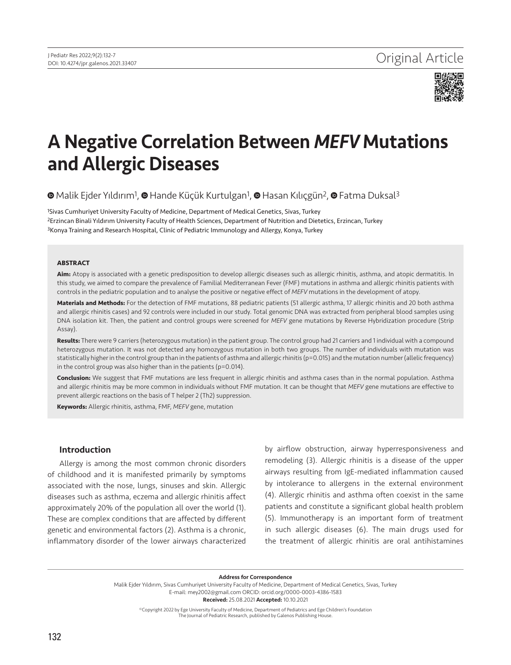

# A Negative Correlation Between *MEFV* Mutations and Allergic Diseases

**⊕**Malik Ejder Yıldırım<sup>1</sup>[,](https://orcid.org/0000-0001-6067-3424) **⊕** Hande Küçük Kurtulgan<sup>1</sup>, ● Hasan Kılıçgün<sup>2</sup>, ● Fatma Duksal<sup>3</sup>

1Sivas Cumhuriyet University Faculty of Medicine, Department of Medical Genetics, Sivas, Turkey 2Erzincan Binali Yıldırım University Faculty of Health Sciences, Department of Nutrition and Dietetics, Erzincan, Turkey 3Konya Training and Research Hospital, Clinic of Pediatric Immunology and Allergy, Konya, Turkey

#### **ABSTRACT**

**Aim:** Atopy is associated with a genetic predisposition to develop allergic diseases such as allergic rhinitis, asthma, and atopic dermatitis. In this study, we aimed to compare the prevalence of Familial Mediterranean Fever (FMF) mutations in asthma and allergic rhinitis patients with controls in the pediatric population and to analyse the positive or negative effect of *MEFV* mutations in the development of atopy.

**Materials and Methods:** For the detection of FMF mutations, 88 pediatric patients (51 allergic asthma, 17 allergic rhinitis and 20 both asthma and allergic rhinitis cases) and 92 controls were included in our study. Total genomic DNA was extracted from peripheral blood samples using DNA isolation kit. Then, the patient and control groups were screened for *MEFV* gene mutations by Reverse Hybridization procedure (Strip Assay).

**Results:** There were 9 carriers (heterozygous mutation) in the patient group. The control group had 21 carriers and 1 individual with a compound heterozygous mutation. It was not detected any homozygous mutation in both two groups. The number of individuals with mutation was statistically higher in the control group than in the patients of asthma and allergic rhinitis (p=0.015) and the mutation number (allelic frequency) in the control group was also higher than in the patients (p=0.014).

**Conclusion:** We suggest that FMF mutations are less frequent in allergic rhinitis and asthma cases than in the normal population. Asthma and allergic rhinitis may be more common in individuals without FMF mutation. It can be thought that *MEFV* gene mutations are effective to prevent allergic reactions on the basis of T helper 2 (Th2) suppression.

**Keywords:** Allergic rhinitis, asthma, FMF, *MEFV* gene, mutation

# Introduction

Allergy is among the most common chronic disorders of childhood and it is manifested primarily by symptoms associated with the nose, lungs, sinuses and skin. Allergic diseases such as asthma, eczema and allergic rhinitis affect approximately 20% of the population all over the world (1). These are complex conditions that are affected by different genetic and environmental factors (2). Asthma is a chronic, inflammatory disorder of the lower airways characterized by airflow obstruction, airway hyperresponsiveness and remodeling (3). Allergic rhinitis is a disease of the upper airways resulting from IgE-mediated inflammation caused by intolerance to allergens in the external environment (4). Allergic rhinitis and asthma often coexist in the same patients and constitute a significant global health problem (5). Immunotherapy is an important form of treatment in such allergic diseases (6). The main drugs used for the treatment of allergic rhinitis are oral antihistamines

Address for Correspondence

Malik Ejder Yıldırım, Sivas Cumhuriyet University Faculty of Medicine, Department of Medical Genetics, Sivas, Turkey E-mail: mey2002@gmail.com ORCID: orcid.org/0000-0003-4386-1583 Received: 25.08.2021 Accepted: 10.10.2021

©Copyright 2022 by Ege University Faculty of Medicine, Department of Pediatrics and Ege Children's Foundation The Journal of Pediatric Research, published by Galenos Publishing House.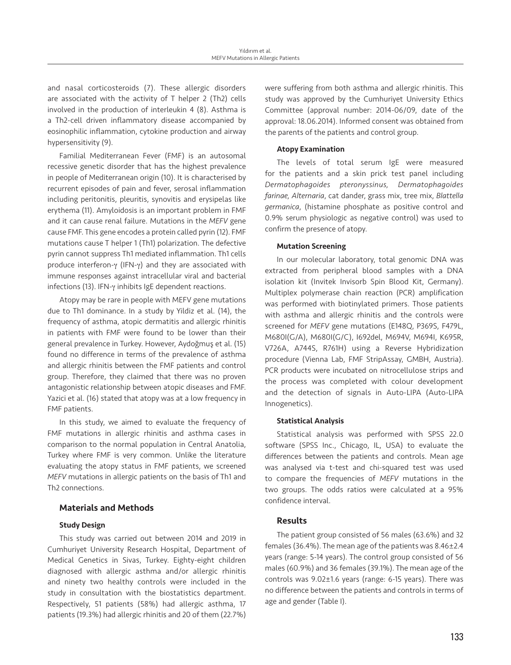and nasal corticosteroids (7). These allergic disorders are associated with the activity of T helper 2 (Th2) cells involved in the production of interleukin 4 (8). Asthma is a Th2-cell driven inflammatory disease accompanied by eosinophilic inflammation, cytokine production and airway hypersensitivity (9).

Familial Mediterranean Fever (FMF) is an autosomal recessive genetic disorder that has the highest prevalence in people of Mediterranean origin (10). It is characterised by recurrent episodes of pain and fever, serosal inflammation including peritonitis, pleuritis, synovitis and erysipelas like erythema (11). Amyloidosis is an important problem in FMF and it can cause renal failure. Mutations in the *MEFV* gene cause FMF. This gene encodes a protein called pyrin (12). FMF mutations cause T helper 1 (Th1) polarization. The defective pyrin cannot suppress Th1 mediated inflammation. Th1 cells produce interferon-γ (IFN-γ) and they are associated with immune responses against intracellular viral and bacterial infections (13). IFN-γ inhibits IgE dependent reactions.

Atopy may be rare in people with MEFV gene mutations due to Th1 dominance. In a study by Yildiz et al. (14), the frequency of asthma, atopic dermatitis and allergic rhinitis in patients with FMF were found to be lower than their general prevalence in Turkey. However, Aydoğmuş et al. (15) found no difference in terms of the prevalence of asthma and allergic rhinitis between the FMF patients and control group. Therefore, they claimed that there was no proven antagonistic relationship between atopic diseases and FMF. Yazici et al. (16) stated that atopy was at a low frequency in FMF patients.

In this study, we aimed to evaluate the frequency of FMF mutations in allergic rhinitis and asthma cases in comparison to the normal population in Central Anatolia, Turkey where FMF is very common. Unlike the literature evaluating the atopy status in FMF patients, we screened *MEFV* mutations in allergic patients on the basis of Th1 and Th2 connections.

# Materials and Methods

## Study Design

This study was carried out between 2014 and 2019 in Cumhuriyet University Research Hospital, Department of Medical Genetics in Sivas, Turkey. Eighty-eight children diagnosed with allergic asthma and/or allergic rhinitis and ninety two healthy controls were included in the study in consultation with the biostatistics department. Respectively, 51 patients (58%) had allergic asthma, 17 patients (19.3%) had allergic rhinitis and 20 of them (22.7%) were suffering from both asthma and allergic rhinitis. This study was approved by the Cumhuriyet University Ethics Committee (approval number: 2014-06/09, date of the approval: 18.06.2014). Informed consent was obtained from the parents of the patients and control group.

## Atopy Examination

The levels of total serum IgE were measured for the patients and a skin prick test panel including *Dermatophagoides pteronyssinus, Dermatophagoides farinae, Alternaria*, cat dander, grass mix, tree mix, *Blattella germanica*, (histamine phosphate as positive control and 0.9% serum physiologic as negative control) was used to confirm the presence of atopy.

## Mutation Screening

In our molecular laboratory, total genomic DNA was extracted from peripheral blood samples with a DNA isolation kit (Invitek Invisorb Spin Blood Kit, Germany). Multiplex polymerase chain reaction (PCR) amplification was performed with biotinylated primers. Those patients with asthma and allergic rhinitis and the controls were screened for *MEFV* gene mutations (E148Q, P369S, F479L, M680I(G/A), M680I(G/C), I692del, M694V, M694I, K695R, V726A, A744S, R761H) using a Reverse Hybridization procedure (Vienna Lab, FMF StripAssay, GMBH, Austria). PCR products were incubated on nitrocellulose strips and the process was completed with colour development and the detection of signals in Auto-LIPA (Auto-LIPA Innogenetics).

#### Statistical Analysis

Statistical analysis was performed with SPSS 22.0 software (SPSS Inc., Chicago, IL, USA) to evaluate the differences between the patients and controls. Mean age was analysed via t-test and chi-squared test was used to compare the frequencies of *MEFV* mutations in the two groups. The odds ratios were calculated at a 95% confidence interval.

## Results

The patient group consisted of 56 males (63.6%) and 32 females (36.4%). The mean age of the patients was 8.46±2.4 years (range: 5-14 years). The control group consisted of 56 males (60.9%) and 36 females (39.1%). The mean age of the controls was 9.02±1.6 years (range: 6-15 years). There was no difference between the patients and controls in terms of age and gender (Table I).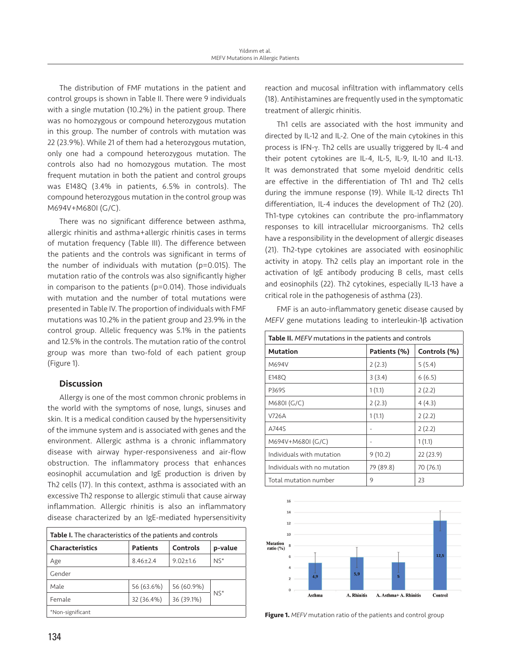The distribution of FMF mutations in the patient and control groups is shown in Table II. There were 9 individuals with a single mutation (10.2%) in the patient group. There was no homozygous or compound heterozygous mutation in this group. The number of controls with mutation was 22 (23.9%). While 21 of them had a heterozygous mutation, only one had a compound heterozygous mutation. The controls also had no homozygous mutation. The most frequent mutation in both the patient and control groups was E148Q (3.4% in patients, 6.5% in controls). The compound heterozygous mutation in the control group was M694V+M680I (G/C).

There was no significant difference between asthma, allergic rhinitis and asthma+allergic rhinitis cases in terms of mutation frequency (Table III). The difference between the patients and the controls was significant in terms of the number of individuals with mutation (p=0.015). The mutation ratio of the controls was also significantly higher in comparison to the patients (p=0.014). Those individuals with mutation and the number of total mutations were presented in Table IV. The proportion of individuals with FMF mutations was 10.2% in the patient group and 23.9% in the control group. Allelic frequency was 5.1% in the patients and 12.5% in the controls. The mutation ratio of the control group was more than two-fold of each patient group (Figure 1).

# **Discussion**

Allergy is one of the most common chronic problems in the world with the symptoms of nose, lungs, sinuses and skin. It is a medical condition caused by the hypersensitivity of the immune system and is associated with genes and the environment. Allergic asthma is a chronic inflammatory disease with airway hyper-responsiveness and air-flow obstruction. The inflammatory process that enhances eosinophil accumulation and IgE production is driven by Th2 cells (17). In this context, asthma is associated with an excessive Th2 response to allergic stimuli that cause airway inflammation. Allergic rhinitis is also an inflammatory disease characterized by an IgE-mediated hypersensitivity

| Table I. The characteristics of the patients and controls |                             |                |         |  |  |
|-----------------------------------------------------------|-----------------------------|----------------|---------|--|--|
| <b>Characteristics</b>                                    | Controls<br><b>Patients</b> |                | p-value |  |  |
| Age                                                       | $8.46 \pm 2.4$              | $9.02 \pm 1.6$ | $NS^*$  |  |  |
| Gender                                                    |                             |                |         |  |  |
| Male                                                      | 56 (63.6%)                  | 56 (60.9%)     | $NS^*$  |  |  |
| Female                                                    | 32 (36.4%)                  | 36 (39.1%)     |         |  |  |
| *Non-significant                                          |                             |                |         |  |  |

reaction and mucosal infiltration with inflammatory cells (18). Antihistamines are frequently used in the symptomatic treatment of allergic rhinitis.

Th1 cells are associated with the host immunity and directed by IL-12 and IL-2. One of the main cytokines in this process is IFN-γ. Th2 cells are usually triggered by IL-4 and their potent cytokines are IL-4, IL-5, IL-9, IL-10 and IL-13. It was demonstrated that some myeloid dendritic cells are effective in the differentiation of Th1 and Th2 cells during the immune response (19). While IL-12 directs Th1 differentiation, IL-4 induces the development of Th2 (20). Th1-type cytokines can contribute the pro-inflammatory responses to kill intracellular microorganisms. Th2 cells have a responsibility in the development of allergic diseases (21). Th2-type cytokines are associated with eosinophilic activity in atopy. Th2 cells play an important role in the activation of IgE antibody producing B cells, mast cells and eosinophils (22). Th2 cytokines, especially IL-13 have a critical role in the pathogenesis of asthma (23).

FMF is an auto-inflammatory genetic disease caused by *MEFV* gene mutations leading to interleukin-1β activation

| Table II. MEFV mutations in the patients and controls |              |              |  |  |
|-------------------------------------------------------|--------------|--------------|--|--|
| <b>Mutation</b>                                       | Patients (%) | Controls (%) |  |  |
| M694V                                                 | 2(2.3)       | 5(5.4)       |  |  |
| E148Q                                                 | 3(3.4)       | 6(6.5)       |  |  |
| P369S                                                 | 1(1.1)       | 2(2.2)       |  |  |
| M680I (G/C)                                           | 2(2.3)       | 4(4.3)       |  |  |
| V726A                                                 | 1(1.1)       | 2(2.2)       |  |  |
| A744S                                                 |              | 2(2.2)       |  |  |
| M694V+M680I (G/C)                                     |              | 1(1.1)       |  |  |
| Individuals with mutation                             | 9(10.2)      | 22(23.9)     |  |  |
| Individuals with no mutation                          | 79 (89.8)    | 70 (76.1)    |  |  |
| Total mutation number                                 | 9            | 23           |  |  |



Figure 1. *MEFV* mutation ratio of the patients and control group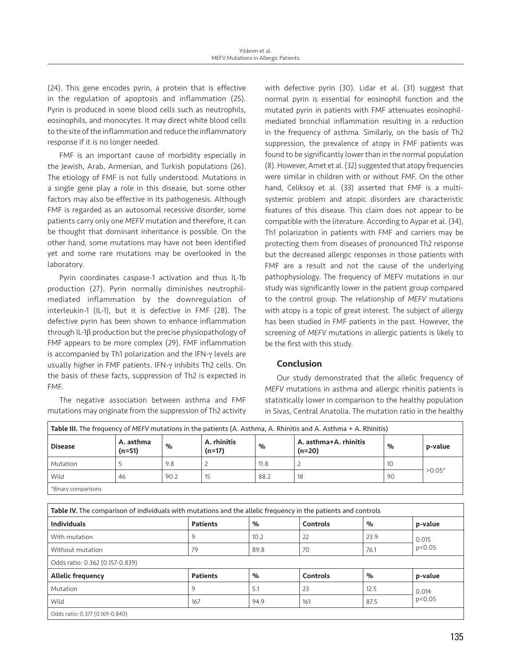(24). This gene encodes pyrin, a protein that is effective in the regulation of apoptosis and inflammation (25). Pyrin is produced in some blood cells such as neutrophils, eosinophils, and monocytes. It may direct white blood cells to the site of the inflammation and reduce the inflammatory response if it is no longer needed.

FMF is an important cause of morbidity especially in the Jewish, Arab, Armenian, and Turkish populations (26). The etiology of FMF is not fully understood. Mutations in a single gene play a role in this disease, but some other factors may also be effective in its pathogenesis. Although FMF is regarded as an autosomal recessive disorder, some patients carry only one *MEFV* mutation and therefore, it can be thought that dominant inheritance is possible. On the other hand, some mutations may have not been identified yet and some rare mutations may be overlooked in the laboratory.

Pyrin coordinates caspase-1 activation and thus IL-1b production (27). Pyrin normally diminishes neutrophilmediated inflammation by the downregulation of interleukin-1 (IL-1), but it is defective in FMF (28). The defective pyrin has been shown to enhance inflammation through IL-1β production but the precise physiopathology of FMF appears to be more complex (29). FMF inflammation is accompanied by Th1 polarization and the IFN-γ levels are usually higher in FMF patients. IFN-γ inhibits Th2 cells. On the basis of these facts, suppression of Th2 is expected in FMF.

The negative association between asthma and FMF mutations may originate from the suppression of Th2 activity with defective pyrin (30). Lidar et al. (31) suggest that normal pyrin is essential for eosinophil function and the mutated pyrin in patients with FMF attenuates eosinophilmediated bronchial inflammation resulting in a reduction in the frequency of asthma. Similarly, on the basis of Th2 suppression, the prevalence of atopy in FMF patients was found to be significantly lower than in the normal population (8). However, Amet et al. (32) suggested that atopy frequencies were similar in children with or without FMF. On the other hand, Celiksoy et al. (33) asserted that FMF is a multisystemic problem and atopic disorders are characteristic features of this disease. This claim does not appear to be compatible with the literature. According to Aypar et al. (34), Th1 polarization in patients with FMF and carriers may be protecting them from diseases of pronounced Th2 response but the decreased allergic responses in those patients with FMF are a result and not the cause of the underlying pathophysiology. The frequency of MEFV mutations in our study was significantly lower in the patient group compared to the control group. The relationship of *MEFV* mutations with atopy is a topic of great interest. The subject of allergy has been studied in FMF patients in the past. However, the screening of *MEFV* mutations in allergic patients is likely to be the first with this study.

# Conclusion

Our study demonstrated that the allelic frequency of *MEFV* mutations in asthma and allergic rhinitis patients is statistically lower in comparison to the healthy population in Sivas, Central Anatolia. The mutation ratio in the healthy

| <b>Disease</b>      | A. asthma<br>$(n=51)$ | %    | A. rhinitis<br>(n=17) | %    | A. asthma+A. rhinitis<br>$(n=20)$ | %  | p-value  |
|---------------------|-----------------------|------|-----------------------|------|-----------------------------------|----|----------|
| Mutation            |                       | 9.8  |                       | 11.8 |                                   | 10 | $>0.05*$ |
| Wild                | 46                    | 90.2 | 15                    | 88.2 | 18                                | 90 |          |
| *Binary comparisons |                       |      |                       |      |                                   |    |          |

| Table IV. The comparison of individuals with mutations and the allelic frequency in the patients and controls |                 |      |          |      |                   |  |
|---------------------------------------------------------------------------------------------------------------|-----------------|------|----------|------|-------------------|--|
| <b>Individuals</b>                                                                                            | <b>Patients</b> | $\%$ | Controls | %    | p-value           |  |
| With mutation                                                                                                 | 9               | 10.2 | 22       | 23.9 | 0.015<br>p < 0.05 |  |
| Without mutation                                                                                              | 79              | 89.8 | 70       | 76.1 |                   |  |
| Odds ratio: 0.362 (0.157-0.839)                                                                               |                 |      |          |      |                   |  |
| <b>Allelic frequency</b>                                                                                      | <b>Patients</b> | $\%$ | Controls | %    | p-value           |  |
| Mutation                                                                                                      | 9               | 5.1  | 23       | 12.5 | 0.014<br>p < 0.05 |  |
| Wild                                                                                                          | 167             | 94.9 | 161      | 87.5 |                   |  |
| Odds ratio: 0.377 (0.169-0.840)                                                                               |                 |      |          |      |                   |  |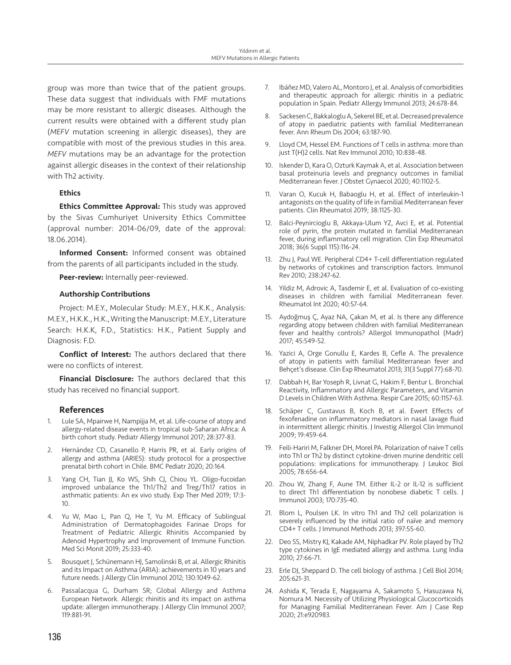group was more than twice that of the patient groups. These data suggest that individuals with FMF mutations may be more resistant to allergic diseases. Although the current results were obtained with a different study plan (*MEFV* mutation screening in allergic diseases), they are compatible with most of the previous studies in this area. *MEFV* mutations may be an advantage for the protection against allergic diseases in the context of their relationship with Th2 activity.

## **Ethics**

**Ethics Committee Approval:** This study was approved by the Sivas Cumhuriyet University Ethics Committee (approval number: 2014-06/09, date of the approval: 18.06.2014).

Informed Consent: Informed consent was obtained from the parents of all participants included in the study.

Peer-review: Internally peer-reviewed.

## Authorship Contributions

Project: M.E.Y., Molecular Study: M.E.Y., H.K.K., Analysis: M.E.Y., H.K.K., H.K., Writing the Manuscript: M.E.Y., Literature Search: H.K.K, F.D., Statistics: H.K., Patient Supply and Diagnosis: F.D.

Conflict of Interest: The authors declared that there were no conflicts of interest.

Financial Disclosure: The authors declared that this study has received no financial support.

## References

- 1. Lule SA, Mpairwe H, Nampijja M, et al. Life-course of atopy and allergy-related disease events in tropical sub-Saharan Africa: A birth cohort study. Pediatr Allergy Immunol 2017; 28:377-83.
- 2. Hernández CD, Casanello P, Harris PR, et al. Early origins of allergy and asthma (ARIES): study protocol for a prospective prenatal birth cohort in Chile. BMC Pediatr 2020; 20:164.
- 3. Yang CH, Tian JJ, Ko WS, Shih CJ, Chiou YL. Oligo-fucoidan improved unbalance the Th1/Th2 and Treg/Th17 ratios in asthmatic patients: An ex vivo study. Exp Ther Med 2019; 17:3- 10.
- 4. Yu W, Mao L, Pan Q, He T, Yu M. Efficacy of Sublingual Administration of Dermatophagoides Farinae Drops for Treatment of Pediatric Allergic Rhinitis Accompanied by Adenoid Hypertrophy and Improvement of Immune Function. Med Sci Monit 2019; 25:333-40.
- 5. Bousquet J, Schünemann HJ, Samolinski B, et al. Allergic Rhinitis and its Impact on Asthma (ARIA): achievements in 10 years and future needs. J Allergy Clin Immunol 2012; 130:1049-62.
- Passalacqua G, Durham SR; Global Allergy and Asthma European Network. Allergic rhinitis and its impact on asthma update: allergen immunotherapy. J Allergy Clin Immunol 2007; 119:881-91.
- 7. Ibáñez MD, Valero AL, Montoro J, et al. Analysis of comorbidities and therapeutic approach for allergic rhinitis in a pediatric population in Spain. Pediatr Allergy Immunol 2013; 24:678-84.
- 8. Sackesen C, Bakkaloglu A, Sekerel BE, et al. Decreased prevalence of atopy in paediatric patients with familial Mediterranean fever. Ann Rheum Dis 2004; 63:187-90.
- 9. Lloyd CM, Hessel EM. Functions of T cells in asthma: more than just T(H)2 cells. Nat Rev Immunol 2010; 10:838-48.
- 10. Iskender D, Kara O, Ozturk Kaymak A, et al. Association between basal proteinuria levels and pregnancy outcomes in familial Mediterranean fever. J Obstet Gynaecol 2020; 40:1102-5.
- 11. Varan O, Kucuk H, Babaoglu H, et al. Effect of interleukin-1 antagonists on the quality of life in familial Mediterranean fever patients. Clin Rheumatol 2019; 38:1125-30.
- 12. Balci-Peynircioglu B, Akkaya-Ulum YZ, Avci E, et al. Potential role of pyrin, the protein mutated in familial Mediterranean fever, during inflammatory cell migration. Clin Exp Rheumatol 2018; 36(6 Suppl 115):116-24.
- 13. Zhu J, Paul WE. Peripheral CD4+ T-cell differentiation regulated by networks of cytokines and transcription factors. Immunol Rev 2010; 238:247-62.
- 14. Yildiz M, Adrovic A, Tasdemir E, et al. Evaluation of co-existing diseases in children with familial Mediterranean fever. Rheumatol Int 2020; 40:57-64.
- 15. Aydoğmuş Ç, Ayaz NA, Çakan M, et al. Is there any difference regarding atopy between children with familial Mediterranean fever and healthy controls? Allergol Immunopathol (Madr) 2017; 45:549-52.
- 16. Yazici A, Orge Gonullu E, Kardes B, Cefle A. The prevalence of atopy in patients with familial Mediterranean fever and Behçet's disease. Clin Exp Rheumatol 2013; 31(3 Suppl 77):68-70.
- 17. Dabbah H, Bar Yoseph R, Livnat G, Hakim F, Bentur L. Bronchial Reactivity, Inflammatory and Allergic Parameters, and Vitamin D Levels in Children With Asthma. Respir Care 2015; 60:1157-63.
- 18. Schäper C, Gustavus B, Koch B, et al. Ewert Effects of fexofenadine on inflammatory mediators in nasal lavage fluid in intermittent allergic rhinitis. J Investig Allergol Clin Immunol 2009; 19:459-64.
- 19. Feili-Hariri M, Falkner DH, Morel PA. Polarization of naive T cells into Th1 or Th2 by distinct cytokine-driven murine dendritic cell populations: implications for immunotherapy. J Leukoc Biol 2005; 78:656-64.
- 20. Zhou W, Zhang F, Aune TM. Either IL-2 or IL-12 is sufficient to direct Th1 differentiation by nonobese diabetic T cells. J Immunol 2003; 170:735-40.
- 21. Blom L, Poulsen LK. In vitro Th1 and Th2 cell polarization is severely influenced by the initial ratio of naïve and memory CD4+ T cells. J Immunol Methods 2013; 397:55-60.
- 22. Deo SS, Mistry KJ, Kakade AM, Niphadkar PV. Role played by Th2 type cytokines in IgE mediated allergy and asthma. Lung India 2010; 27:66-71.
- 23. Erle DJ, Sheppard D. The cell biology of asthma. J Cell Biol 2014; 205:621-31.
- 24. Ashida K, Terada E, Nagayama A, Sakamoto S, Hasuzawa N, Nomura M. Necessity of Utilizing Physiological Glucocorticoids for Managing Familial Mediterranean Fever. Am J Case Rep 2020; 21:e920983.